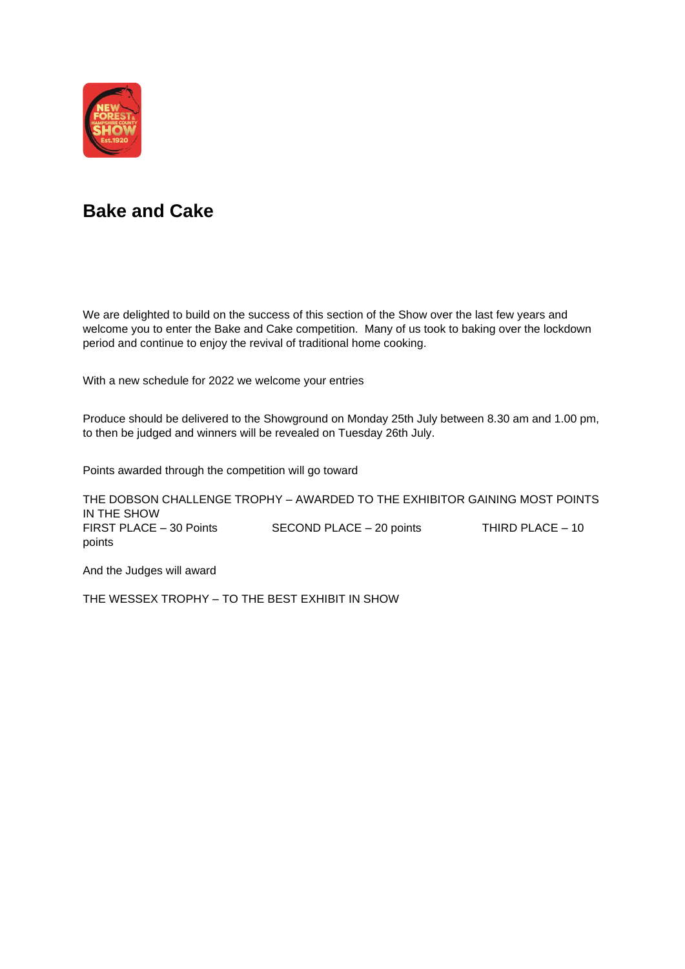

#### **Bake and Cake**

We are delighted to build on the success of this section of the Show over the last few years and welcome you to enter the Bake and Cake competition. Many of us took to baking over the lockdown period and continue to enjoy the revival of traditional home cooking.

With a new schedule for 2022 we welcome your entries

Produce should be delivered to the Showground on Monday 25th July between 8.30 am and 1.00 pm, to then be judged and winners will be revealed on Tuesday 26th July.

Points awarded through the competition will go toward

THE DOBSON CHALLENGE TROPHY – AWARDED TO THE EXHIBITOR GAINING MOST POINTS IN THE SHOW FIRST PLACE – 30 Points SECOND PLACE – 20 points THIRD PLACE – 10 points

And the Judges will award

THE WESSEX TROPHY – TO THE BEST EXHIBIT IN SHOW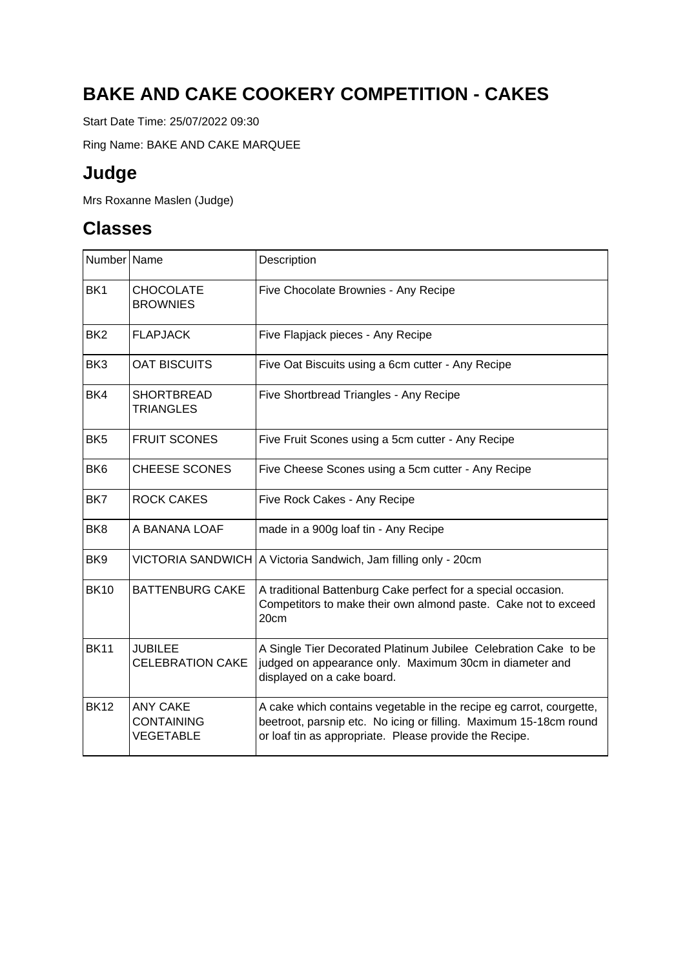# **BAKE AND CAKE COOKERY COMPETITION - CAKES**

Start Date Time: 25/07/2022 09:30

Ring Name: BAKE AND CAKE MARQUEE

## **Judge**

Mrs Roxanne Maslen (Judge)

| Number Name     |                                                          | Description                                                                                                                                                                                        |
|-----------------|----------------------------------------------------------|----------------------------------------------------------------------------------------------------------------------------------------------------------------------------------------------------|
| BK <sub>1</sub> | <b>CHOCOLATE</b><br><b>BROWNIES</b>                      | Five Chocolate Brownies - Any Recipe                                                                                                                                                               |
| BK <sub>2</sub> | <b>FLAPJACK</b>                                          | Five Flapjack pieces - Any Recipe                                                                                                                                                                  |
| BK <sub>3</sub> | <b>OAT BISCUITS</b>                                      | Five Oat Biscuits using a 6cm cutter - Any Recipe                                                                                                                                                  |
| BK4             | <b>SHORTBREAD</b><br><b>TRIANGLES</b>                    | Five Shortbread Triangles - Any Recipe                                                                                                                                                             |
| BK <sub>5</sub> | <b>FRUIT SCONES</b>                                      | Five Fruit Scones using a 5cm cutter - Any Recipe                                                                                                                                                  |
| BK <sub>6</sub> | <b>CHEESE SCONES</b>                                     | Five Cheese Scones using a 5cm cutter - Any Recipe                                                                                                                                                 |
| BK7             | <b>ROCK CAKES</b>                                        | Five Rock Cakes - Any Recipe                                                                                                                                                                       |
| BK <sub>8</sub> | A BANANA LOAF                                            | made in a 900g loaf tin - Any Recipe                                                                                                                                                               |
| BK <sub>9</sub> |                                                          | VICTORIA SANDWICH   A Victoria Sandwich, Jam filling only - 20cm                                                                                                                                   |
| <b>BK10</b>     | <b>BATTENBURG CAKE</b>                                   | A traditional Battenburg Cake perfect for a special occasion.<br>Competitors to make their own almond paste. Cake not to exceed<br>20cm                                                            |
| <b>BK11</b>     | <b>JUBILEE</b><br><b>CELEBRATION CAKE</b>                | A Single Tier Decorated Platinum Jubilee Celebration Cake to be<br>judged on appearance only. Maximum 30cm in diameter and<br>displayed on a cake board.                                           |
| <b>BK12</b>     | <b>ANY CAKE</b><br><b>CONTAINING</b><br><b>VEGETABLE</b> | A cake which contains vegetable in the recipe eg carrot, courgette,<br>beetroot, parsnip etc. No icing or filling. Maximum 15-18cm round<br>or loaf tin as appropriate. Please provide the Recipe. |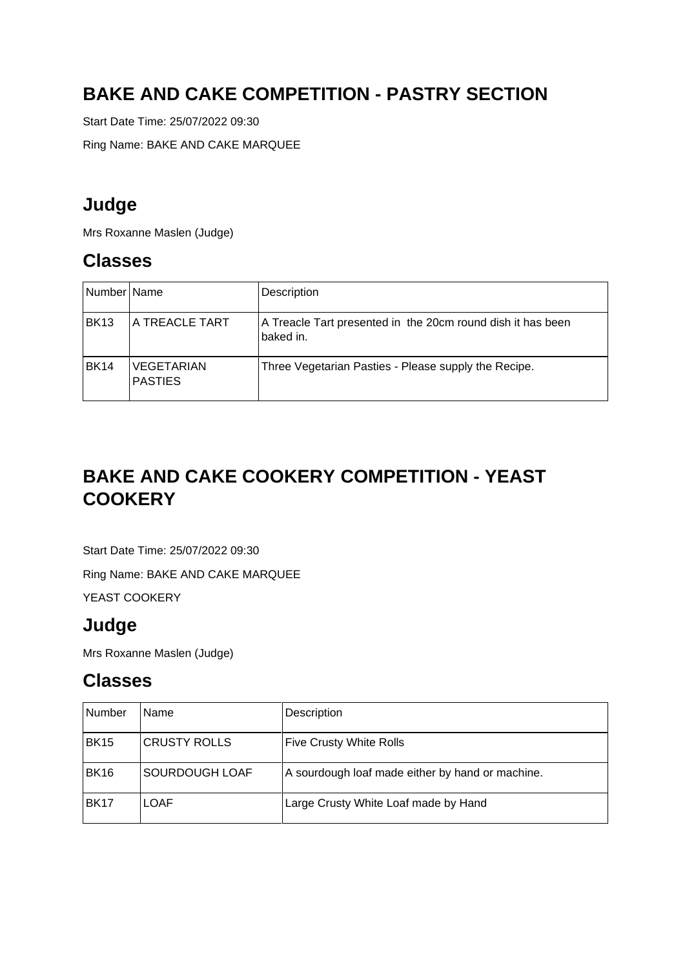## **BAKE AND CAKE COMPETITION - PASTRY SECTION**

Start Date Time: 25/07/2022 09:30

Ring Name: BAKE AND CAKE MARQUEE

### **Judge**

Mrs Roxanne Maslen (Judge)

#### **Classes**

| Number Name      |                                     | Description                                                              |
|------------------|-------------------------------------|--------------------------------------------------------------------------|
| BK <sub>13</sub> | <b>A TREACLE TART</b>               | A Treacle Tart presented in the 20cm round dish it has been<br>baked in. |
| <b>BK14</b>      | <b>VEGETARIAN</b><br><b>PASTIES</b> | Three Vegetarian Pasties - Please supply the Recipe.                     |

# **BAKE AND CAKE COOKERY COMPETITION - YEAST COOKERY**

Start Date Time: 25/07/2022 09:30

Ring Name: BAKE AND CAKE MARQUEE

YEAST COOKERY

#### **Judge**

Mrs Roxanne Maslen (Judge)

| Number           | Name                | Description                                      |
|------------------|---------------------|--------------------------------------------------|
| <b>BK15</b>      | <b>CRUSTY ROLLS</b> | <b>Five Crusty White Rolls</b>                   |
| <b>BK16</b>      | SOURDOUGH LOAF      | A sourdough loaf made either by hand or machine. |
| BK <sub>17</sub> | <b>LOAF</b>         | Large Crusty White Loaf made by Hand             |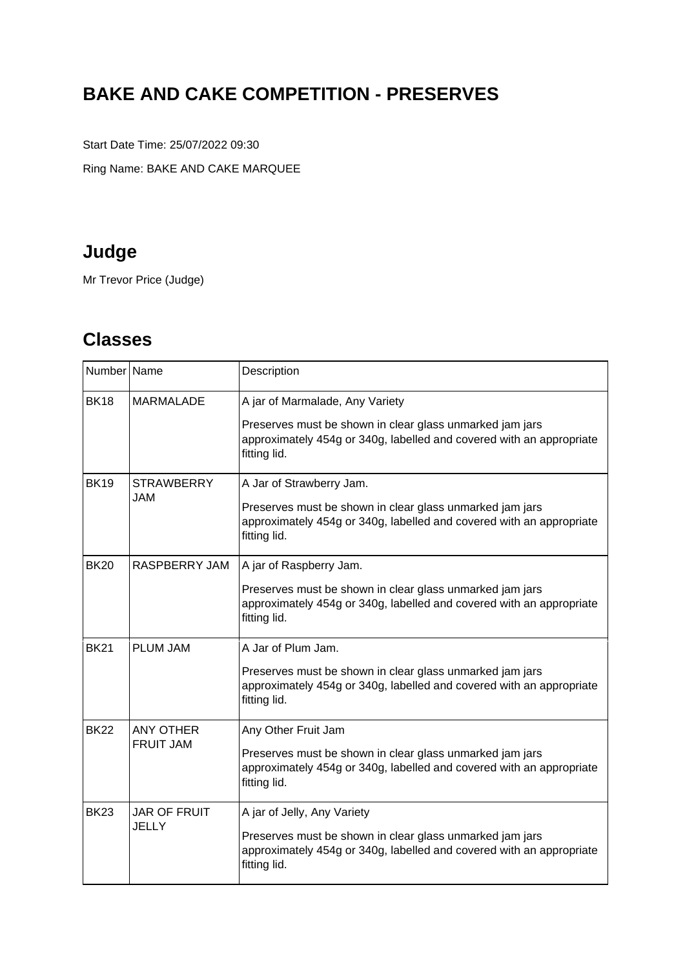# **BAKE AND CAKE COMPETITION - PRESERVES**

Start Date Time: 25/07/2022 09:30

Ring Name: BAKE AND CAKE MARQUEE

# **Judge**

Mr Trevor Price (Judge)

| Number Name |                                      | Description                                                                                                                                                                         |
|-------------|--------------------------------------|-------------------------------------------------------------------------------------------------------------------------------------------------------------------------------------|
| <b>BK18</b> | <b>MARMALADE</b>                     | A jar of Marmalade, Any Variety<br>Preserves must be shown in clear glass unmarked jam jars<br>approximately 454g or 340g, labelled and covered with an appropriate<br>fitting lid. |
| <b>BK19</b> | <b>STRAWBERRY</b><br><b>JAM</b>      | A Jar of Strawberry Jam.<br>Preserves must be shown in clear glass unmarked jam jars<br>approximately 454g or 340g, labelled and covered with an appropriate<br>fitting lid.        |
| <b>BK20</b> | RASPBERRY JAM                        | A jar of Raspberry Jam.<br>Preserves must be shown in clear glass unmarked jam jars<br>approximately 454g or 340g, labelled and covered with an appropriate<br>fitting lid.         |
| <b>BK21</b> | <b>PLUM JAM</b>                      | A Jar of Plum Jam.<br>Preserves must be shown in clear glass unmarked jam jars<br>approximately 454g or 340g, labelled and covered with an appropriate<br>fitting lid.              |
| <b>BK22</b> | <b>ANY OTHER</b><br><b>FRUIT JAM</b> | Any Other Fruit Jam<br>Preserves must be shown in clear glass unmarked jam jars<br>approximately 454g or 340g, labelled and covered with an appropriate<br>fitting lid.             |
| <b>BK23</b> | <b>JAR OF FRUIT</b><br><b>JELLY</b>  | A jar of Jelly, Any Variety<br>Preserves must be shown in clear glass unmarked jam jars<br>approximately 454g or 340g, labelled and covered with an appropriate<br>fitting lid.     |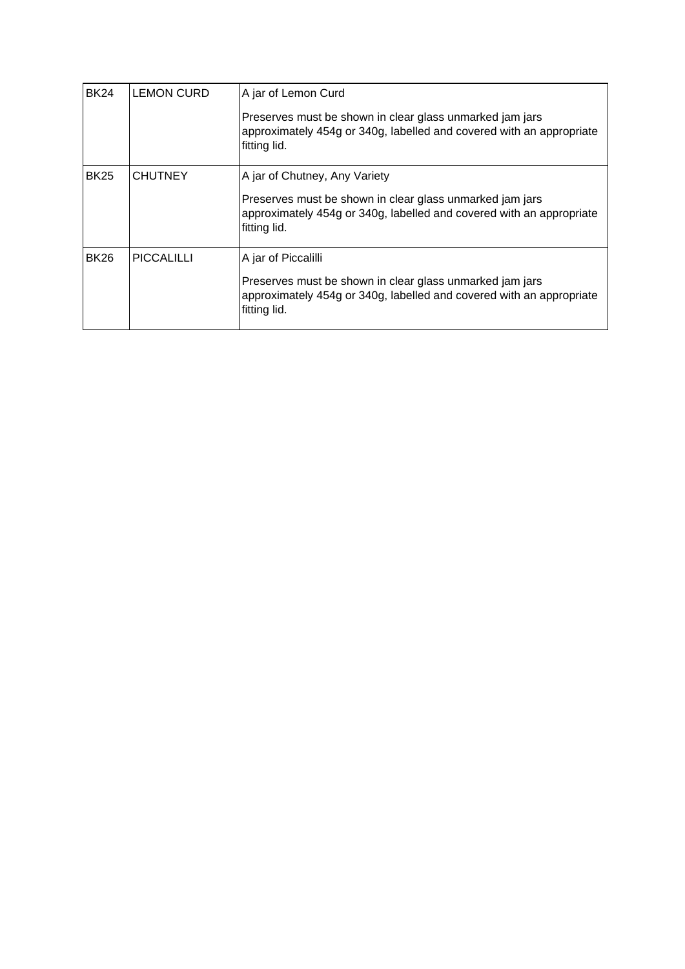| <b>BK24</b> | <b>LEMON CURD</b> | A jar of Lemon Curd                                                                                                                              |  |
|-------------|-------------------|--------------------------------------------------------------------------------------------------------------------------------------------------|--|
|             |                   | Preserves must be shown in clear glass unmarked jam jars<br>approximately 454g or 340g, labelled and covered with an appropriate<br>fitting lid. |  |
| <b>BK25</b> | <b>CHUTNEY</b>    | A jar of Chutney, Any Variety                                                                                                                    |  |
|             |                   | Preserves must be shown in clear glass unmarked jam jars<br>approximately 454g or 340g, labelled and covered with an appropriate<br>fitting lid. |  |
| <b>BK26</b> | <b>PICCALILLI</b> | A jar of Piccalilli                                                                                                                              |  |
|             |                   | Preserves must be shown in clear glass unmarked jam jars<br>approximately 454g or 340g, labelled and covered with an appropriate<br>fitting lid. |  |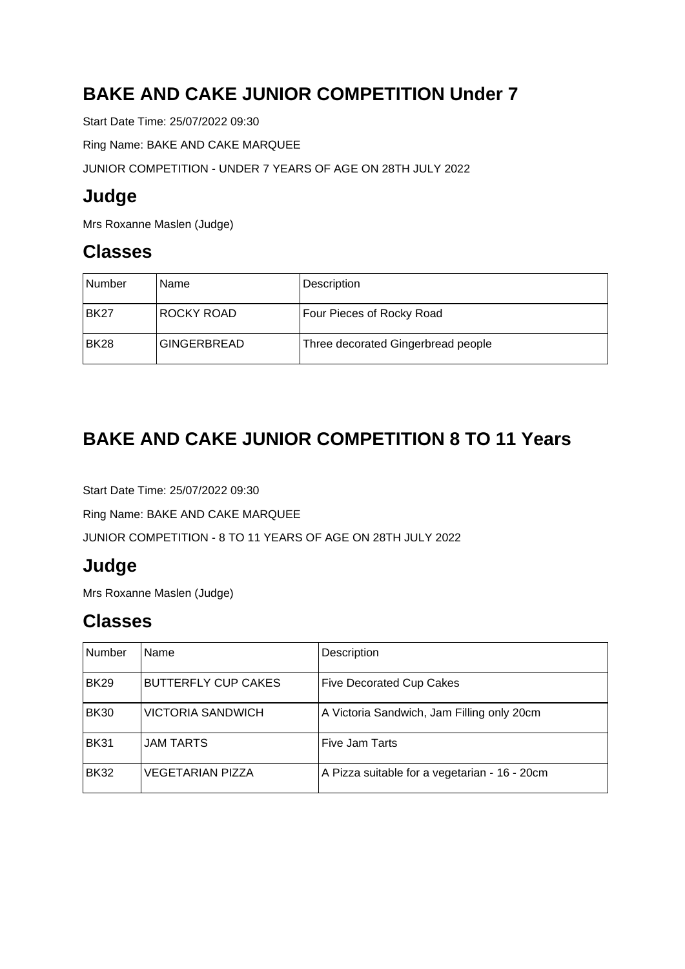# **BAKE AND CAKE JUNIOR COMPETITION Under 7**

Start Date Time: 25/07/2022 09:30

Ring Name: BAKE AND CAKE MARQUEE

JUNIOR COMPETITION - UNDER 7 YEARS OF AGE ON 28TH JULY 2022

## **Judge**

Mrs Roxanne Maslen (Judge)

#### **Classes**

| l Number    | Name               | <b>Description</b>                 |
|-------------|--------------------|------------------------------------|
| <b>BK27</b> | ROCKY ROAD         | Four Pieces of Rocky Road          |
| <b>BK28</b> | <b>GINGERBREAD</b> | Three decorated Gingerbread people |

# **BAKE AND CAKE JUNIOR COMPETITION 8 TO 11 Years**

Start Date Time: 25/07/2022 09:30

Ring Name: BAKE AND CAKE MARQUEE

JUNIOR COMPETITION - 8 TO 11 YEARS OF AGE ON 28TH JULY 2022

## **Judge**

Mrs Roxanne Maslen (Judge)

| Number      | Name                       | Description                                   |
|-------------|----------------------------|-----------------------------------------------|
| <b>BK29</b> | <b>BUTTERFLY CUP CAKES</b> | <b>Five Decorated Cup Cakes</b>               |
| <b>BK30</b> | <b>VICTORIA SANDWICH</b>   | A Victoria Sandwich, Jam Filling only 20cm    |
| <b>BK31</b> | <b>JAM TARTS</b>           | Five Jam Tarts                                |
| <b>BK32</b> | <b>VEGETARIAN PIZZA</b>    | A Pizza suitable for a vegetarian - 16 - 20cm |